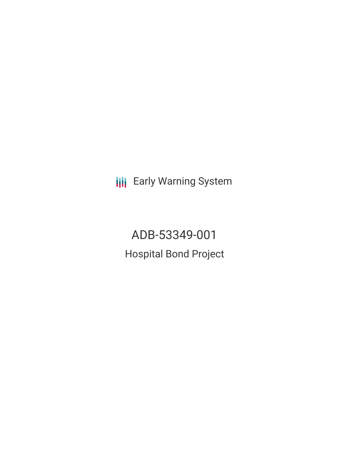**III** Early Warning System

ADB-53349-001 Hospital Bond Project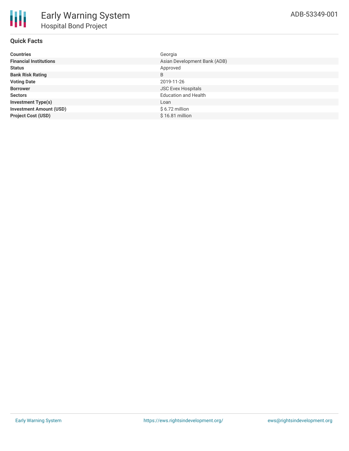

# **Quick Facts**

| <b>Countries</b>               | Georgia                      |
|--------------------------------|------------------------------|
| <b>Financial Institutions</b>  | Asian Development Bank (ADB) |
| <b>Status</b>                  | Approved                     |
| <b>Bank Risk Rating</b>        | B                            |
| <b>Voting Date</b>             | 2019-11-26                   |
| <b>Borrower</b>                | <b>JSC Evex Hospitals</b>    |
| <b>Sectors</b>                 | <b>Education and Health</b>  |
| <b>Investment Type(s)</b>      | Loan                         |
| <b>Investment Amount (USD)</b> | $$6.72$ million              |
| <b>Project Cost (USD)</b>      | $$16.81$ million             |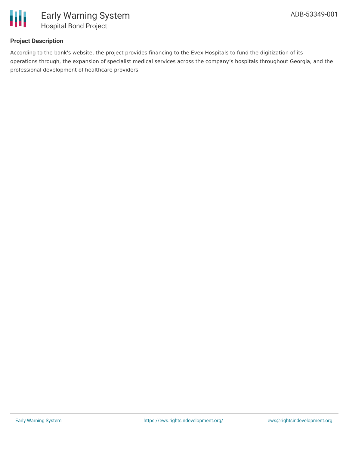

## **Project Description**

According to the bank's website, the project provides financing to the Evex Hospitals to fund the digitization of its operations through, the expansion of specialist medical services across the company's hospitals throughout Georgia, and the professional development of healthcare providers.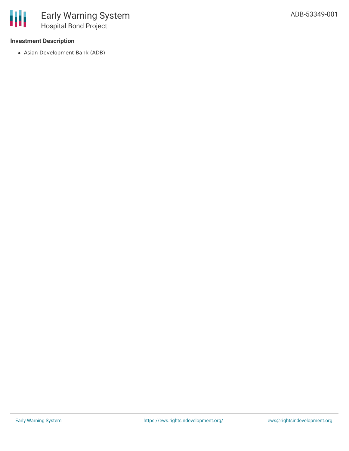## **Investment Description**

冊

Asian Development Bank (ADB)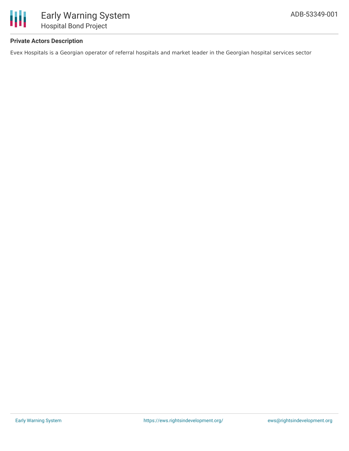

# **Private Actors Description**

Evex Hospitals is a Georgian operator of referral hospitals and market leader in the Georgian hospital services sector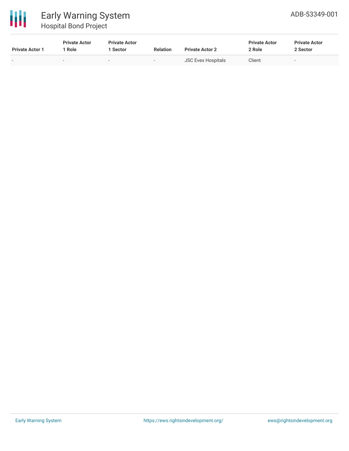

# Early Warning System Hospital Bond Project

| <b>Private Actor 1</b> | <b>Private Actor</b><br>Role | <b>Private Actor</b><br>Sector | <b>Relation</b>          | <b>Private Actor 2</b> | <b>Private Actor</b><br>2 Role | <b>Private Actor</b><br>2 Sector |
|------------------------|------------------------------|--------------------------------|--------------------------|------------------------|--------------------------------|----------------------------------|
|                        |                              | $\overline{\phantom{0}}$       | $\overline{\phantom{a}}$ | JSC Evex Hospitals     | Client                         |                                  |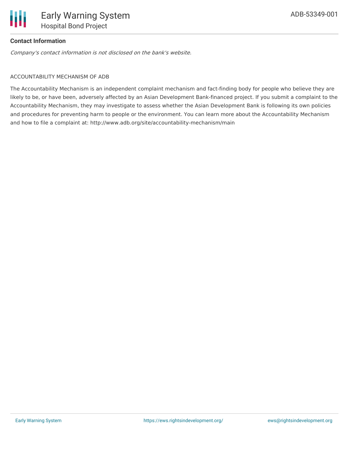

## **Contact Information**

Company's contact information is not disclosed on the bank's website.

#### ACCOUNTABILITY MECHANISM OF ADB

The Accountability Mechanism is an independent complaint mechanism and fact-finding body for people who believe they are likely to be, or have been, adversely affected by an Asian Development Bank-financed project. If you submit a complaint to the Accountability Mechanism, they may investigate to assess whether the Asian Development Bank is following its own policies and procedures for preventing harm to people or the environment. You can learn more about the Accountability Mechanism and how to file a complaint at: http://www.adb.org/site/accountability-mechanism/main